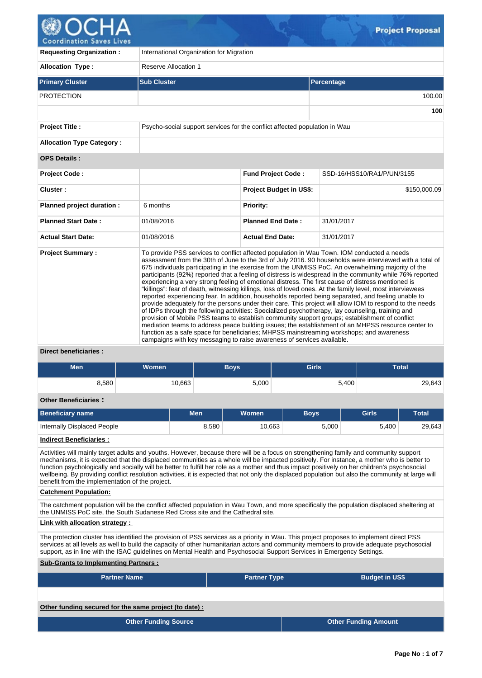

| <b>Requesting Organization:</b>  | International Organization for Migration                                   |                                                                                                                                                                                                                                                                                                                                                                                                                                                                                                                                                                                                                                                                                                                                                                                                                                                                                                                                                                                                                                                                                                                                                                                                                                                                                                                                                    |                            |  |  |  |  |
|----------------------------------|----------------------------------------------------------------------------|----------------------------------------------------------------------------------------------------------------------------------------------------------------------------------------------------------------------------------------------------------------------------------------------------------------------------------------------------------------------------------------------------------------------------------------------------------------------------------------------------------------------------------------------------------------------------------------------------------------------------------------------------------------------------------------------------------------------------------------------------------------------------------------------------------------------------------------------------------------------------------------------------------------------------------------------------------------------------------------------------------------------------------------------------------------------------------------------------------------------------------------------------------------------------------------------------------------------------------------------------------------------------------------------------------------------------------------------------|----------------------------|--|--|--|--|
| <b>Allocation Type:</b>          | <b>Reserve Allocation 1</b>                                                |                                                                                                                                                                                                                                                                                                                                                                                                                                                                                                                                                                                                                                                                                                                                                                                                                                                                                                                                                                                                                                                                                                                                                                                                                                                                                                                                                    |                            |  |  |  |  |
| <b>Primary Cluster</b>           | <b>Sub Cluster</b>                                                         |                                                                                                                                                                                                                                                                                                                                                                                                                                                                                                                                                                                                                                                                                                                                                                                                                                                                                                                                                                                                                                                                                                                                                                                                                                                                                                                                                    | Percentage                 |  |  |  |  |
| <b>PROTECTION</b>                |                                                                            |                                                                                                                                                                                                                                                                                                                                                                                                                                                                                                                                                                                                                                                                                                                                                                                                                                                                                                                                                                                                                                                                                                                                                                                                                                                                                                                                                    | 100.00                     |  |  |  |  |
|                                  |                                                                            |                                                                                                                                                                                                                                                                                                                                                                                                                                                                                                                                                                                                                                                                                                                                                                                                                                                                                                                                                                                                                                                                                                                                                                                                                                                                                                                                                    | 100                        |  |  |  |  |
| <b>Project Title:</b>            | Psycho-social support services for the conflict affected population in Wau |                                                                                                                                                                                                                                                                                                                                                                                                                                                                                                                                                                                                                                                                                                                                                                                                                                                                                                                                                                                                                                                                                                                                                                                                                                                                                                                                                    |                            |  |  |  |  |
| <b>Allocation Type Category:</b> |                                                                            |                                                                                                                                                                                                                                                                                                                                                                                                                                                                                                                                                                                                                                                                                                                                                                                                                                                                                                                                                                                                                                                                                                                                                                                                                                                                                                                                                    |                            |  |  |  |  |
| <b>OPS Details:</b>              |                                                                            |                                                                                                                                                                                                                                                                                                                                                                                                                                                                                                                                                                                                                                                                                                                                                                                                                                                                                                                                                                                                                                                                                                                                                                                                                                                                                                                                                    |                            |  |  |  |  |
| Project Code:                    |                                                                            | <b>Fund Project Code:</b>                                                                                                                                                                                                                                                                                                                                                                                                                                                                                                                                                                                                                                                                                                                                                                                                                                                                                                                                                                                                                                                                                                                                                                                                                                                                                                                          | SSD-16/HSS10/RA1/P/UN/3155 |  |  |  |  |
| Cluster:                         |                                                                            | Project Budget in US\$:                                                                                                                                                                                                                                                                                                                                                                                                                                                                                                                                                                                                                                                                                                                                                                                                                                                                                                                                                                                                                                                                                                                                                                                                                                                                                                                            | \$150,000.09               |  |  |  |  |
| Planned project duration :       | 6 months                                                                   | <b>Priority:</b>                                                                                                                                                                                                                                                                                                                                                                                                                                                                                                                                                                                                                                                                                                                                                                                                                                                                                                                                                                                                                                                                                                                                                                                                                                                                                                                                   |                            |  |  |  |  |
| <b>Planned Start Date:</b>       | 01/08/2016                                                                 | <b>Planned End Date:</b>                                                                                                                                                                                                                                                                                                                                                                                                                                                                                                                                                                                                                                                                                                                                                                                                                                                                                                                                                                                                                                                                                                                                                                                                                                                                                                                           | 31/01/2017                 |  |  |  |  |
| <b>Actual Start Date:</b>        | 01/08/2016                                                                 | <b>Actual End Date:</b>                                                                                                                                                                                                                                                                                                                                                                                                                                                                                                                                                                                                                                                                                                                                                                                                                                                                                                                                                                                                                                                                                                                                                                                                                                                                                                                            | 31/01/2017                 |  |  |  |  |
| <b>Project Summary:</b>          |                                                                            | To provide PSS services to conflict affected population in Wau Town. IOM conducted a needs<br>assessment from the 30th of June to the 3rd of July 2016. 90 households were interviewed with a total of<br>675 individuals participating in the exercise from the UNMISS PoC. An overwhelming majority of the<br>participants (92%) reported that a feeling of distress is widespread in the community while 76% reported<br>experiencing a very strong feeling of emotional distress. The first cause of distress mentioned is<br>"killings": fear of death, witnessing killings, loss of loved ones. At the family level, most interviewees<br>reported experiencing fear. In addition, households reported being separated, and feeling unable to<br>provide adequately for the persons under their care. This project will allow IOM to respond to the needs<br>of IDPs through the following activities: Specialized psychotherapy, lay counseling, training and<br>provision of Mobile PSS teams to establish community support groups; establishment of conflict<br>mediation teams to address peace building issues; the establishment of an MHPSS resource center to<br>function as a safe space for beneficiaries; MHPSS mainstreaming workshops; and awareness<br>campaigns with key messaging to raise awareness of services available. |                            |  |  |  |  |

# **Direct beneficiaries :**

| <b>Men</b><br>Women         |        | <b>Boys</b> |        | <b>Girls</b> |              | <b>Total</b> |  |  |  |  |  |
|-----------------------------|--------|-------------|--------|--------------|--------------|--------------|--|--|--|--|--|
|                             |        |             |        |              |              |              |  |  |  |  |  |
| 8,580                       | 10,663 |             | 5,000  |              | 5,400        | 29,643       |  |  |  |  |  |
|                             |        |             |        |              |              |              |  |  |  |  |  |
| <b>Other Beneficiaries:</b> |        |             |        |              |              |              |  |  |  |  |  |
| <b>Beneficiary name</b>     |        | <b>Men</b>  | Women  | <b>Boys</b>  | <b>Girls</b> | <b>Total</b> |  |  |  |  |  |
| Internally Displaced People |        | 8,580       | 10,663 | 5,000        | 5,400        | 29,643       |  |  |  |  |  |
| Indiract Ranaficiarias      |        |             |        |              |              |              |  |  |  |  |  |

**Indirect Beneficiaries :**

Activities will mainly target adults and youths. However, because there will be a focus on strengthening family and community support mechanisms, it is expected that the displaced communities as a whole will be impacted positively. For instance, a mother who is better to function psychologically and socially will be better to fulfill her role as a mother and thus impact positively on her children's psychosocial wellbeing. By providing conflict resolution activities, it is expected that not only the displaced population but also the community at large will benefit from the implementation of the project.

## **Catchment Population:**

The catchment population will be the conflict affected population in Wau Town, and more specifically the population displaced sheltering at the UNMISS PoC site, the South Sudanese Red Cross site and the Cathedral site.

# **Link with allocation strategy :**

The protection cluster has identified the provision of PSS services as a priority in Wau. This project proposes to implement direct PSS services at all levels as well to build the capacity of other humanitarian actors and community members to provide adequate psychosocial support, as in line with the ISAC guidelines on Mental Health and Psychosocial Support Services in Emergency Settings.

# **Sub-Grants to Implementing Partners :**

| <b>Partner Name</b>                                    | <b>Partner Type</b> | <b>Budget in US\$</b>       |
|--------------------------------------------------------|---------------------|-----------------------------|
|                                                        |                     |                             |
| Other funding secured for the same project (to date) : |                     |                             |
| <b>Other Funding Source</b>                            |                     | <b>Other Funding Amount</b> |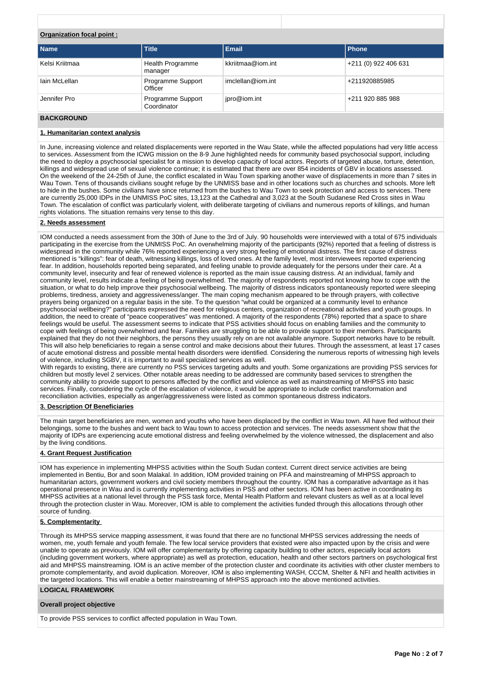# **Organization focal point :**

| <b>Name</b>    | <b>Title</b>                       | <b>Email</b>      | l Phone              |
|----------------|------------------------------------|-------------------|----------------------|
| Kelsi Kriitmaa | <b>Health Programme</b><br>manager | kkriitmaa@iom.int | +211 (0) 922 406 631 |
| lain McLellan  | Programme Support<br>Officer       | imclellan@iom.int | +211920885985        |
| Jennifer Pro   | Programme Support<br>Coordinator   | jpro@iom.int      | +211 920 885 988     |

# **BACKGROUND**

# **1. Humanitarian context analysis**

In June, increasing violence and related displacements were reported in the Wau State, while the affected populations had very little access to services. Assessment from the ICWG mission on the 8-9 June highlighted needs for community based psychosocial support, including the need to deploy a psychosocial specialist for a mission to develop capacity of local actors. Reports of targeted abuse, torture, detention, killings and widespread use of sexual violence continue; it is estimated that there are over 854 incidents of GBV in locations assessed. On the weekend of the 24-25th of June, the conflict escalated in Wau Town sparking another wave of displacements in more than 7 sites in Wau Town. Tens of thousands civilians sought refuge by the UNMISS base and in other locations such as churches and schools. More left to hide in the bushes. Some civilians have since returned from the bushes to Wau Town to seek protection and access to services. There are currently 25,000 IDPs in the UNMISS PoC sites, 13,123 at the Cathedral and 3,023 at the South Sudanese Red Cross sites in Wau Town. The escalation of conflict was particularly violent, with deliberate targeting of civilians and numerous reports of killings, and human rights violations. The situation remains very tense to this day.

# **2. Needs assessment**

IOM conducted a needs assessment from the 30th of June to the 3rd of July. 90 households were interviewed with a total of 675 individuals participating in the exercise from the UNMISS PoC. An overwhelming majority of the participants (92%) reported that a feeling of distress is widespread in the community while 76% reported experiencing a very strong feeling of emotional distress. The first cause of distress mentioned is "killings": fear of death, witnessing killings, loss of loved ones. At the family level, most interviewees reported experiencing fear. In addition, households reported being separated, and feeling unable to provide adequately for the persons under their care. At a community level, insecurity and fear of renewed violence is reported as the main issue causing distress. At an individual, family and community level, results indicate a feeling of being overwhelmed. The majority of respondents reported not knowing how to cope with the situation, or what to do help improve their psychosocial wellbeing. The majority of distress indicators spontaneously reported were sleeping problems, tiredness, anxiety and aggressiveness/anger. The main coping mechanism appeared to be through prayers, with collective prayers being organized on a regular basis in the site. To the question "what could be organized at a community level to enhance psychosocial wellbeing?" participants expressed the need for religious centers, organization of recreational activities and youth groups. In addition, the need to create of "peace cooperatives" was mentioned. A majority of the respondents (78%) reported that a space to share feelings would be useful. The assessment seems to indicate that PSS activities should focus on enabling families and the community to cope with feelings of being overwhelmed and fear. Families are struggling to be able to provide support to their members. Participants explained that they do not their neighbors, the persons they usually rely on are not available anymore. Support networks have to be rebuilt. This will also help beneficiaries to regain a sense control and make decisions about their futures. Through the assessment, at least 17 cases of acute emotional distress and possible mental health disorders were identified. Considering the numerous reports of witnessing high levels of violence, including SGBV, it is important to avail specialized services as well.

With regards to existing, there are currently no PSS services targeting adults and youth. Some organizations are providing PSS services for children but mostly level 2 services. Other notable areas needing to be addressed are community based services to strengthen the community ability to provide support to persons affected by the conflict and violence as well as mainstreaming of MHPSS into basic services. Finally, considering the cycle of the escalation of violence, it would be appropriate to include conflict transformation and reconciliation activities, especially as anger/aggressiveness were listed as common spontaneous distress indicators.

## **3. Description Of Beneficiaries**

The main target beneficiaries are men, women and youths who have been displaced by the conflict in Wau town. All have fled without their belongings, some to the bushes and went back to Wau town to access protection and services. The needs assessment show that the majority of IDPs are experiencing acute emotional distress and feeling overwhelmed by the violence witnessed, the displacement and also by the living conditions.

## **4. Grant Request Justification**

IOM has experience in implementing MHPSS activities within the South Sudan context. Current direct service activities are being implemented in Bentiu, Bor and soon Malakal. In addition, IOM provided training on PFA and mainstreaming of MHPSS approach to humanitarian actors, government workers and civil society members throughout the country. IOM has a comparative advantage as it has operational presence in Wau and is currently implementing activities in PSS and other sectors. IOM has been active in coordinating its MHPSS activities at a national level through the PSS task force, Mental Health Platform and relevant clusters as well as at a local level through the protection cluster in Wau. Moreover, IOM is able to complement the activities funded through this allocations through other source of funding.

# **5. Complementarity**

Through its MHPSS service mapping assessment, it was found that there are no functional MHPSS services addressing the needs of women, me, youth female and youth female. The few local service providers that existed were also impacted upon by the crisis and were unable to operate as previously. IOM will offer complementarity by offering capacity building to other actors, especially local actors (including government workers, where appropriate) as well as protection, education, health and other sectors partners on psychological first aid and MHPSS mainstreaming. IOM is an active member of the protection cluster and coordinate its activities with other cluster members to promote complementarity, and avoid duplication. Moreover, IOM is also implementing WASH, CCCM, Shelter & NFI and health activities in the targeted locations. This will enable a better mainstreaming of MHPSS approach into the above mentioned activities.

# **LOGICAL FRAMEWORK**

# **Overall project objective**

To provide PSS services to conflict affected population in Wau Town.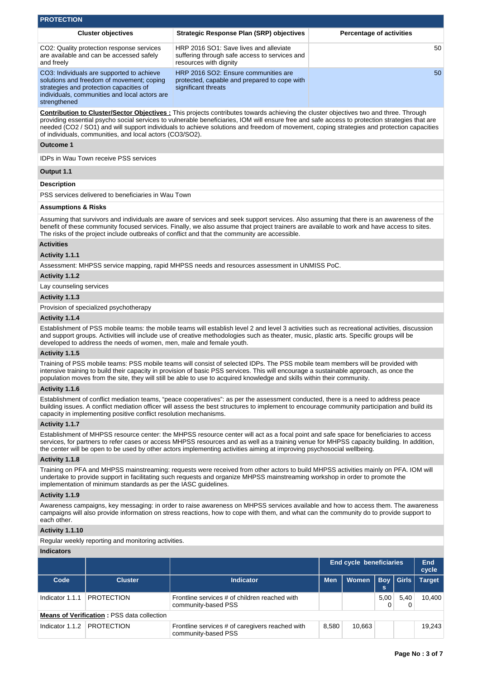| <b>PROTECTION</b>                                                                                                                                                                                                                                                                                                                                                                                                                                                                                      |                                                                                                                                                                                                                                                                              |                                                                                                                                                                                                                                                                                                                                                                                                               |            |                                 |            |       |                     |  |  |  |  |
|--------------------------------------------------------------------------------------------------------------------------------------------------------------------------------------------------------------------------------------------------------------------------------------------------------------------------------------------------------------------------------------------------------------------------------------------------------------------------------------------------------|------------------------------------------------------------------------------------------------------------------------------------------------------------------------------------------------------------------------------------------------------------------------------|---------------------------------------------------------------------------------------------------------------------------------------------------------------------------------------------------------------------------------------------------------------------------------------------------------------------------------------------------------------------------------------------------------------|------------|---------------------------------|------------|-------|---------------------|--|--|--|--|
|                                                                                                                                                                                                                                                                                                                                                                                                                                                                                                        | <b>Cluster objectives</b>                                                                                                                                                                                                                                                    | <b>Strategic Response Plan (SRP) objectives</b>                                                                                                                                                                                                                                                                                                                                                               |            | <b>Percentage of activities</b> |            |       |                     |  |  |  |  |
| and freely                                                                                                                                                                                                                                                                                                                                                                                                                                                                                             | CO2: Quality protection response services<br>are available and can be accessed safely                                                                                                                                                                                        | HRP 2016 SO1: Save lives and alleviate<br>suffering through safe access to services and<br>resources with dignity                                                                                                                                                                                                                                                                                             |            |                                 |            |       | 50                  |  |  |  |  |
| strengthened                                                                                                                                                                                                                                                                                                                                                                                                                                                                                           | CO3: Individuals are supported to achieve<br>solutions and freedom of movement; coping<br>strategies and protection capacities of<br>individuals, communities and local actors are                                                                                           | HRP 2016 SO2: Ensure communities are<br>protected, capable and prepared to cope with<br>significant threats                                                                                                                                                                                                                                                                                                   |            |                                 |            |       |                     |  |  |  |  |
| <b>Contribution to Cluster/Sector Objectives:</b> This projects contributes towards achieving the cluster objectives two and three. Through<br>providing essential psycho social services to vulnerable beneficiaries, IOM will ensure free and safe access to protection strategies that are<br>needed (CO2 / SO1) and will support individuals to achieve solutions and freedom of movement, coping strategies and protection capacities<br>of individuals, communities, and local actors (CO3/SO2). |                                                                                                                                                                                                                                                                              |                                                                                                                                                                                                                                                                                                                                                                                                               |            |                                 |            |       |                     |  |  |  |  |
| <b>Outcome 1</b>                                                                                                                                                                                                                                                                                                                                                                                                                                                                                       |                                                                                                                                                                                                                                                                              |                                                                                                                                                                                                                                                                                                                                                                                                               |            |                                 |            |       |                     |  |  |  |  |
|                                                                                                                                                                                                                                                                                                                                                                                                                                                                                                        | <b>IDPs in Wau Town receive PSS services</b>                                                                                                                                                                                                                                 |                                                                                                                                                                                                                                                                                                                                                                                                               |            |                                 |            |       |                     |  |  |  |  |
| Output 1.1                                                                                                                                                                                                                                                                                                                                                                                                                                                                                             |                                                                                                                                                                                                                                                                              |                                                                                                                                                                                                                                                                                                                                                                                                               |            |                                 |            |       |                     |  |  |  |  |
| <b>Description</b>                                                                                                                                                                                                                                                                                                                                                                                                                                                                                     |                                                                                                                                                                                                                                                                              |                                                                                                                                                                                                                                                                                                                                                                                                               |            |                                 |            |       |                     |  |  |  |  |
|                                                                                                                                                                                                                                                                                                                                                                                                                                                                                                        | PSS services delivered to beneficiaries in Wau Town                                                                                                                                                                                                                          |                                                                                                                                                                                                                                                                                                                                                                                                               |            |                                 |            |       |                     |  |  |  |  |
|                                                                                                                                                                                                                                                                                                                                                                                                                                                                                                        |                                                                                                                                                                                                                                                                              |                                                                                                                                                                                                                                                                                                                                                                                                               |            |                                 |            |       |                     |  |  |  |  |
| <b>Assumptions &amp; Risks</b>                                                                                                                                                                                                                                                                                                                                                                                                                                                                         |                                                                                                                                                                                                                                                                              |                                                                                                                                                                                                                                                                                                                                                                                                               |            |                                 |            |       |                     |  |  |  |  |
|                                                                                                                                                                                                                                                                                                                                                                                                                                                                                                        |                                                                                                                                                                                                                                                                              | Assuming that survivors and individuals are aware of services and seek support services. Also assuming that there is an awareness of the<br>benefit of these community focused services. Finally, we also assume that project trainers are available to work and have access to sites.<br>The risks of the project include outbreaks of conflict and that the community are accessible.                       |            |                                 |            |       |                     |  |  |  |  |
| <b>Activities</b>                                                                                                                                                                                                                                                                                                                                                                                                                                                                                      |                                                                                                                                                                                                                                                                              |                                                                                                                                                                                                                                                                                                                                                                                                               |            |                                 |            |       |                     |  |  |  |  |
| Activity 1.1.1                                                                                                                                                                                                                                                                                                                                                                                                                                                                                         |                                                                                                                                                                                                                                                                              |                                                                                                                                                                                                                                                                                                                                                                                                               |            |                                 |            |       |                     |  |  |  |  |
|                                                                                                                                                                                                                                                                                                                                                                                                                                                                                                        |                                                                                                                                                                                                                                                                              | Assessment: MHPSS service mapping, rapid MHPSS needs and resources assessment in UNMISS PoC.                                                                                                                                                                                                                                                                                                                  |            |                                 |            |       |                     |  |  |  |  |
| Activity 1.1.2                                                                                                                                                                                                                                                                                                                                                                                                                                                                                         |                                                                                                                                                                                                                                                                              |                                                                                                                                                                                                                                                                                                                                                                                                               |            |                                 |            |       |                     |  |  |  |  |
| Lay counseling services                                                                                                                                                                                                                                                                                                                                                                                                                                                                                |                                                                                                                                                                                                                                                                              |                                                                                                                                                                                                                                                                                                                                                                                                               |            |                                 |            |       |                     |  |  |  |  |
| Activity 1.1.3                                                                                                                                                                                                                                                                                                                                                                                                                                                                                         |                                                                                                                                                                                                                                                                              |                                                                                                                                                                                                                                                                                                                                                                                                               |            |                                 |            |       |                     |  |  |  |  |
|                                                                                                                                                                                                                                                                                                                                                                                                                                                                                                        | Provision of specialized psychotherapy                                                                                                                                                                                                                                       |                                                                                                                                                                                                                                                                                                                                                                                                               |            |                                 |            |       |                     |  |  |  |  |
| Activity 1.1.4                                                                                                                                                                                                                                                                                                                                                                                                                                                                                         |                                                                                                                                                                                                                                                                              |                                                                                                                                                                                                                                                                                                                                                                                                               |            |                                 |            |       |                     |  |  |  |  |
|                                                                                                                                                                                                                                                                                                                                                                                                                                                                                                        | developed to address the needs of women, men, male and female youth.                                                                                                                                                                                                         | Establishment of PSS mobile teams: the mobile teams will establish level 2 and level 3 activities such as recreational activities, discussion<br>and support groups. Activities will include use of creative methodologies such as theater, music, plastic arts. Specific groups will be                                                                                                                      |            |                                 |            |       |                     |  |  |  |  |
| Activity 1.1.5                                                                                                                                                                                                                                                                                                                                                                                                                                                                                         |                                                                                                                                                                                                                                                                              |                                                                                                                                                                                                                                                                                                                                                                                                               |            |                                 |            |       |                     |  |  |  |  |
|                                                                                                                                                                                                                                                                                                                                                                                                                                                                                                        |                                                                                                                                                                                                                                                                              | Training of PSS mobile teams: PSS mobile teams will consist of selected IDPs. The PSS mobile team members will be provided with<br>intensive training to build their capacity in provision of basic PSS services. This will encourage a sustainable approach, as once the<br>population moves from the site, they will still be able to use to acquired knowledge and skills within their community.          |            |                                 |            |       |                     |  |  |  |  |
| Activity 1.1.6                                                                                                                                                                                                                                                                                                                                                                                                                                                                                         |                                                                                                                                                                                                                                                                              |                                                                                                                                                                                                                                                                                                                                                                                                               |            |                                 |            |       |                     |  |  |  |  |
|                                                                                                                                                                                                                                                                                                                                                                                                                                                                                                        | capacity in implementing positive conflict resolution mechanisms.                                                                                                                                                                                                            | Establishment of conflict mediation teams, "peace cooperatives": as per the assessment conducted, there is a need to address peace<br>building issues. A conflict mediation officer will assess the best structures to implement to encourage community participation and build its                                                                                                                           |            |                                 |            |       |                     |  |  |  |  |
| Activity 1.1.7                                                                                                                                                                                                                                                                                                                                                                                                                                                                                         |                                                                                                                                                                                                                                                                              |                                                                                                                                                                                                                                                                                                                                                                                                               |            |                                 |            |       |                     |  |  |  |  |
|                                                                                                                                                                                                                                                                                                                                                                                                                                                                                                        |                                                                                                                                                                                                                                                                              | Establishment of MHPSS resource center: the MHPSS resource center will act as a focal point and safe space for beneficiaries to access<br>services, for partners to refer cases or access MHPSS resources and as well as a training venue for MHPSS capacity building. In addition,<br>the center will be open to be used by other actors implementing activities aiming at improving psychosocial wellbeing. |            |                                 |            |       |                     |  |  |  |  |
| Activity 1.1.8                                                                                                                                                                                                                                                                                                                                                                                                                                                                                         |                                                                                                                                                                                                                                                                              |                                                                                                                                                                                                                                                                                                                                                                                                               |            |                                 |            |       |                     |  |  |  |  |
|                                                                                                                                                                                                                                                                                                                                                                                                                                                                                                        | implementation of minimum standards as per the IASC guidelines.                                                                                                                                                                                                              | Training on PFA and MHPSS mainstreaming: requests were received from other actors to build MHPSS activities mainly on PFA. IOM will<br>undertake to provide support in facilitating such requests and organize MHPSS mainstreaming workshop in order to promote the                                                                                                                                           |            |                                 |            |       |                     |  |  |  |  |
| Activity 1.1.9                                                                                                                                                                                                                                                                                                                                                                                                                                                                                         |                                                                                                                                                                                                                                                                              |                                                                                                                                                                                                                                                                                                                                                                                                               |            |                                 |            |       |                     |  |  |  |  |
| each other.                                                                                                                                                                                                                                                                                                                                                                                                                                                                                            | Awareness campaigns, key messaging: in order to raise awareness on MHPSS services available and how to access them. The awareness<br>campaigns will also provide information on stress reactions, how to cope with them, and what can the community do to provide support to |                                                                                                                                                                                                                                                                                                                                                                                                               |            |                                 |            |       |                     |  |  |  |  |
| Activity 1.1.10                                                                                                                                                                                                                                                                                                                                                                                                                                                                                        |                                                                                                                                                                                                                                                                              |                                                                                                                                                                                                                                                                                                                                                                                                               |            |                                 |            |       |                     |  |  |  |  |
|                                                                                                                                                                                                                                                                                                                                                                                                                                                                                                        | Regular weekly reporting and monitoring activities.                                                                                                                                                                                                                          |                                                                                                                                                                                                                                                                                                                                                                                                               |            |                                 |            |       |                     |  |  |  |  |
| <b>Indicators</b>                                                                                                                                                                                                                                                                                                                                                                                                                                                                                      |                                                                                                                                                                                                                                                                              |                                                                                                                                                                                                                                                                                                                                                                                                               |            |                                 |            |       |                     |  |  |  |  |
|                                                                                                                                                                                                                                                                                                                                                                                                                                                                                                        |                                                                                                                                                                                                                                                                              |                                                                                                                                                                                                                                                                                                                                                                                                               |            | <b>End cycle beneficiaries</b>  |            |       | <b>End</b><br>cycle |  |  |  |  |
| Code                                                                                                                                                                                                                                                                                                                                                                                                                                                                                                   | <b>Cluster</b>                                                                                                                                                                                                                                                               | <b>Indicator</b>                                                                                                                                                                                                                                                                                                                                                                                              | <b>Men</b> | <b>Women</b>                    | <b>Boy</b> | Girls | <b>Target</b>       |  |  |  |  |

Indicator 1.1.1 PROTECTION Frontline services # of children reached with

community-based PSS

| Indicator 1.1.2 | <b>PROTECTION</b> | Frontline services # of caregivers reached with<br><sup>⊥</sup> communitv-based PSS | 8,580 | 10.663 |  |
|-----------------|-------------------|-------------------------------------------------------------------------------------|-------|--------|--|

10,400

5,00 0 5,40 0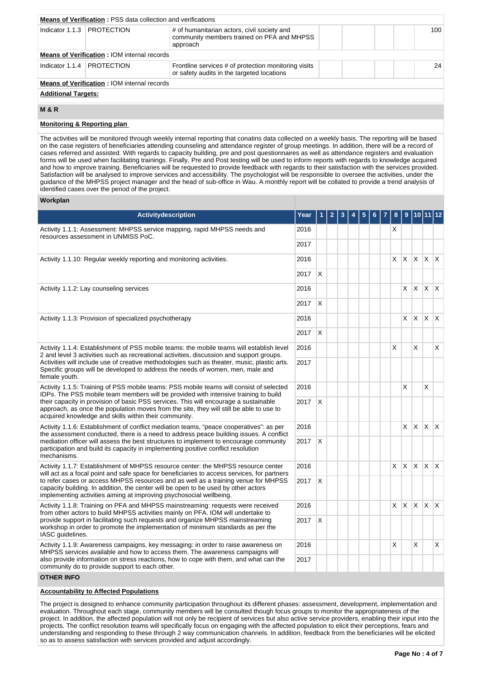|                              | <b>Means of Verification: PSS data collection and verifications</b> |                                                                                                       |  |  |     |  |  |  |
|------------------------------|---------------------------------------------------------------------|-------------------------------------------------------------------------------------------------------|--|--|-----|--|--|--|
| Indicator 1.1.3   PROTECTION |                                                                     | # of humanitarian actors, civil society and<br>community members trained on PFA and MHPSS<br>approach |  |  | 100 |  |  |  |
|                              | <b>Means of Verification: IOM internal records</b>                  |                                                                                                       |  |  |     |  |  |  |
| Indicator 1.1.4   PROTECTION |                                                                     | Frontline services # of protection monitoring visits<br>or safety audits in the targeted locations    |  |  | 24  |  |  |  |
|                              | <b>Means of Verification: IOM internal records</b>                  |                                                                                                       |  |  |     |  |  |  |
| <b>Additional Targets:</b>   |                                                                     |                                                                                                       |  |  |     |  |  |  |

# **M & R**

# **Monitoring & Reporting plan**

The activities will be monitored through weekly internal reporting that conatins data collected on a weekly basis. The reporting will be based on the case registers of beneficiaries attending counseling and attendance register of group meetings. In addition, there will be a record of cases referred and assisted. With regards to capacity building, pre and post questionnaires as well as attendance registers and evaluation forms will be used when facilitating trainings. Finally, Pre and Post testing will be used to inform reports with regards to knowledge acquired and how to improve training. Beneficiaries will be requested to provide feedback with regards to their satisfaction with the services provided. Satisfaction will be analysed to improve services and accessibility. The psychologist will be responsible to oversee the activities, under the guidance of the MHPSS project manager and the head of sub-office in Wau. A monthly report will be collated to provide a trend analysis of identified cases over the period of the project.

# **Workplan**

| Activitydescription                                                                                                                                                                                                                                                                                            | Year |   |  |  |  |    | 9            |    | 10   11   12          |   |
|----------------------------------------------------------------------------------------------------------------------------------------------------------------------------------------------------------------------------------------------------------------------------------------------------------------|------|---|--|--|--|----|--------------|----|-----------------------|---|
| Activity 1.1.1: Assessment: MHPSS service mapping, rapid MHPSS needs and<br>resources assessment in UNMISS PoC.                                                                                                                                                                                                | 2016 |   |  |  |  | X  |              |    |                       |   |
|                                                                                                                                                                                                                                                                                                                | 2017 |   |  |  |  |    |              |    |                       |   |
| Activity 1.1.10: Regular weekly reporting and monitoring activities.                                                                                                                                                                                                                                           | 2016 |   |  |  |  |    |              |    | $x \times x \times x$ |   |
|                                                                                                                                                                                                                                                                                                                | 2017 | X |  |  |  |    |              |    |                       |   |
| Activity 1.1.2: Lay counseling services                                                                                                                                                                                                                                                                        | 2016 |   |  |  |  |    | X            | X. | $X$ $X$               |   |
|                                                                                                                                                                                                                                                                                                                | 2017 | X |  |  |  |    |              |    |                       |   |
| Activity 1.1.3: Provision of specialized psychotherapy                                                                                                                                                                                                                                                         | 2016 |   |  |  |  |    | X            | X. | $X$ $X$               |   |
|                                                                                                                                                                                                                                                                                                                | 2017 | X |  |  |  |    |              |    |                       |   |
| Activity 1.1.4: Establishment of PSS mobile teams: the mobile teams will establish level<br>2 and level 3 activities such as recreational activities, discussion and support groups.                                                                                                                           | 2016 |   |  |  |  | X  |              | X  |                       | X |
| Activities will include use of creative methodologies such as theater, music, plastic arts.<br>Specific groups will be developed to address the needs of women, men, male and<br>female youth.                                                                                                                 |      |   |  |  |  |    |              |    |                       |   |
| Activity 1.1.5: Training of PSS mobile teams: PSS mobile teams will consist of selected<br>IDPs. The PSS mobile team members will be provided with intensive training to build                                                                                                                                 |      |   |  |  |  |    | X            |    | X                     |   |
| their capacity in provision of basic PSS services. This will encourage a sustainable<br>approach, as once the population moves from the site, they will still be able to use to<br>acquired knowledge and skills within their community.                                                                       | 2017 | X |  |  |  |    |              |    |                       |   |
| Activity 1.1.6: Establishment of conflict mediation teams, "peace cooperatives": as per<br>the assessment conducted, there is a need to address peace building issues. A conflict                                                                                                                              | 2016 |   |  |  |  |    | X.           | X. | $X$ $X$               |   |
| mediation officer will assess the best structures to implement to encourage community<br>participation and build its capacity in implementing positive conflict resolution<br>mechanisms.                                                                                                                      | 2017 | X |  |  |  |    |              |    |                       |   |
| Activity 1.1.7: Establishment of MHPSS resource center: the MHPSS resource center<br>will act as a focal point and safe space for beneficiaries to access services, for partners                                                                                                                               | 2016 |   |  |  |  | X. | $\mathsf{X}$ |    | $x \times x$          |   |
| to refer cases or access MHPSS resources and as well as a training venue for MHPSS<br>capacity building. In addition, the center will be open to be used by other actors<br>implementing activities aiming at improving psychosocial wellbeing.                                                                | 2017 | X |  |  |  |    |              |    |                       |   |
| Activity 1.1.8: Training on PFA and MHPSS mainstreaming: requests were received<br>from other actors to build MHPSS activities mainly on PFA. IOM will undertake to                                                                                                                                            | 2016 |   |  |  |  | X. | $\mathsf{X}$ | X. | $x \times$            |   |
| provide support in facilitating such requests and organize MHPSS mainstreaming<br>workshop in order to promote the implementation of minimum standards as per the<br>IASC guidelines.                                                                                                                          |      | X |  |  |  |    |              |    |                       |   |
| Activity 1.1.9: Awareness campaigns, key messaging: in order to raise awareness on<br>MHPSS services available and how to access them. The awareness campaigns will<br>also provide information on stress reactions, how to cope with them, and what can the<br>community do to provide support to each other. |      |   |  |  |  | X  |              | X  |                       | X |
|                                                                                                                                                                                                                                                                                                                |      |   |  |  |  |    |              |    |                       |   |
| <b>OTHER INFO</b>                                                                                                                                                                                                                                                                                              |      |   |  |  |  |    |              |    |                       |   |

# **Accountability to Affected Populations**

The project is designed to enhance community participation throughout its different phases: assessment, development, implementation and evaluation. Throughout each stage, community members will be consulted though focus groups to monitor the appropriateness of the project. In addition, the affected population will not only be recipient of services but also active service providers, enabling their input into the projects. The conflict resolution teams will specifically focus on engaging with the affected population to elicit their perceptions, fears and understanding and responding to these through 2 way communication channels. In addition, feedback from the beneficiaries will be elicited so as to assess satisfaction with services provided and adjust accordingly.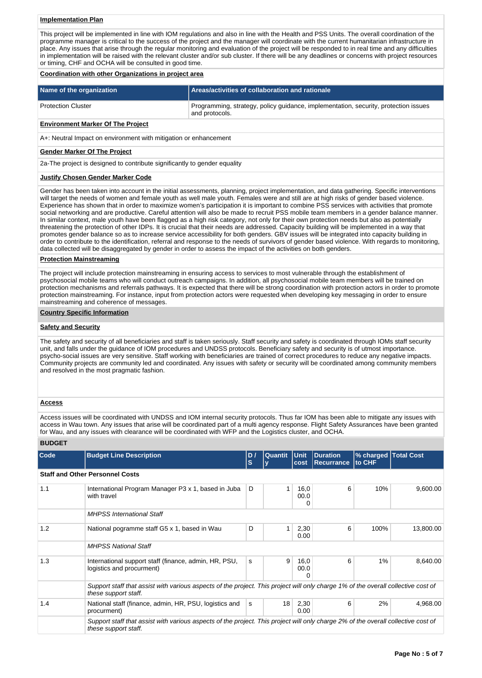# **Implementation Plan**

This project will be implemented in line with IOM regulations and also in line with the Health and PSS Units. The overall coordination of the programme manager is critical to the success of the project and the manager will coordinate with the current humanitarian infrastructure in place. Any issues that arise through the regular monitoring and evaluation of the project will be responded to in real time and any difficulties in implementation will be raised with the relevant cluster and/or sub cluster. If there will be any deadlines or concerns with project resources or timing, CHF and OCHA will be consulted in good time.

#### **Coordination with other Organizations in project area**

| Name of the organization                 | Areas/activities of collaboration and rationale                                                       |
|------------------------------------------|-------------------------------------------------------------------------------------------------------|
| <b>Protection Cluster</b>                | Programming, strategy, policy guidance, implementation, security, protection issues<br>and protocols. |
| <b>Environment Marker Of The Project</b> |                                                                                                       |

A+: Neutral Impact on environment with mitigation or enhancement

#### **Gender Marker Of The Project**

2a-The project is designed to contribute significantly to gender equality

#### **Justify Chosen Gender Marker Code**

Gender has been taken into account in the initial assessments, planning, project implementation, and data gathering. Specific interventions will target the needs of women and female youth as well male youth. Females were and still are at high risks of gender based violence. Experience has shown that in order to maximize women's participation it is important to combine PSS services with activities that promote social networking and are productive. Careful attention will also be made to recruit PSS mobile team members in a gender balance manner. In similar context, male youth have been flagged as a high risk category, not only for their own protection needs but also as potentially threatening the protection of other IDPs. It is crucial that their needs are addressed. Capacity building will be implemented in a way that promotes gender balance so as to increase service accessibility for both genders. GBV issues will be integrated into capacity building in order to contribute to the identification, referral and response to the needs of survivors of gender based violence. With regards to monitoring, data collected will be disaggregated by gender in order to assess the impact of the activities on both genders.

## **Protection Mainstreaming**

The project will include protection mainstreaming in ensuring access to services to most vulnerable through the establishment of psychosocial mobile teams who will conduct outreach campaigns. In addition, all psychosocial mobile team members will be trained on protection mechanisms and referrals pathways. It is expected that there will be strong coordination with protection actors in order to promote protection mainstreaming. For instance, input from protection actors were requested when developing key messaging in order to ensure mainstreaming and coherence of messages.

#### **Country Specific Information**

## **Safety and Security**

The safety and security of all beneficiaries and staff is taken seriously. Staff security and safety is coordinated through IOMs staff security unit, and falls under the guidance of IOM procedures and UNDSS protocols. Beneficiary safety and security is of utmost importance. psycho-social issues are very sensitive. Staff working with beneficiaries are trained of correct procedures to reduce any negative impacts. Community projects are community led and coordinated. Any issues with safety or security will be coordinated among community members and resolved in the most pragmatic fashion.

## **Access**

Access issues will be coordinated with UNDSS and IOM internal security protocols. Thus far IOM has been able to mitigate any issues with access in Wau town. Any issues that arise will be coordinated part of a multi agency response. Flight Safety Assurances have been granted for Wau, and any issues with clearance will be coordinated with WFP and the Logistics cluster, and OCHA.

# **BUDGET**

| Code | <b>Budget Line Description</b>                                                                                                                            | D /<br>s | Quantit<br>v | Unit <br>cost            | <b>Duration</b><br><b>Recurrance</b> | % charged Total Cost<br>to CHF |           |
|------|-----------------------------------------------------------------------------------------------------------------------------------------------------------|----------|--------------|--------------------------|--------------------------------------|--------------------------------|-----------|
|      | <b>Staff and Other Personnel Costs</b>                                                                                                                    |          |              |                          |                                      |                                |           |
| 1.1  | International Program Manager P3 x 1, based in Juba<br>with travel                                                                                        | D        |              | 16,0<br>00.0<br>0        | 6                                    | 10%                            | 9,600.00  |
|      | <b>MHPSS</b> International Staff                                                                                                                          |          |              |                          |                                      |                                |           |
| 1.2  | National pogramme staff G5 x 1, based in Wau                                                                                                              | D        |              | 2,30<br>0.00             | 6                                    | 100%                           | 13,800.00 |
|      | <b>MHPSS National Staff</b>                                                                                                                               |          |              |                          |                                      |                                |           |
| 1.3  | International support staff (finance, admin, HR, PSU,<br>logistics and procurment)                                                                        | s        | 9            | 16,0<br>00.0<br>$\Omega$ | 6                                    | 1%                             | 8,640.00  |
|      | Support staff that assist with various aspects of the project. This project will only charge 1% of the overall collective cost of<br>these support staff. |          |              |                          |                                      |                                |           |
| 1.4  | National staff (finance, admin, HR, PSU, logistics and<br>procurment)                                                                                     | s        | 18           | 2,30<br>0.00             | 6                                    | 2%                             | 4,968.00  |
|      | Support staff that assist with various aspects of the project. This project will only charge 2% of the overall collective cost of<br>these support staff. |          |              |                          |                                      |                                |           |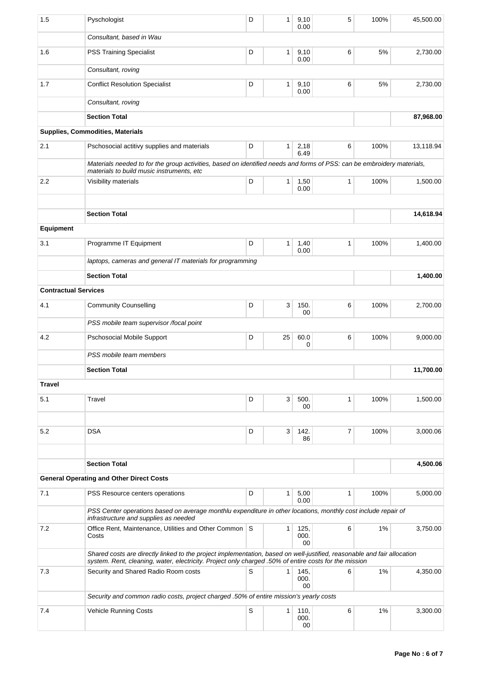| 1.5                         | Pyschologist                                                                                                                                                                                                                     | D           | $\mathbf{1}$ | 9,10<br>0.00       | 5            | 100% | 45,500.00 |
|-----------------------------|----------------------------------------------------------------------------------------------------------------------------------------------------------------------------------------------------------------------------------|-------------|--------------|--------------------|--------------|------|-----------|
|                             | Consultant, based in Wau                                                                                                                                                                                                         |             |              |                    |              |      |           |
| 1.6                         | <b>PSS Training Specialist</b>                                                                                                                                                                                                   | D           | 1            | 9,10<br>0.00       | 6            | 5%   | 2,730.00  |
|                             | Consultant, roving                                                                                                                                                                                                               |             |              |                    |              |      |           |
| 1.7                         | <b>Conflict Resolution Specialist</b>                                                                                                                                                                                            | D           | $\mathbf{1}$ | 9,10<br>0.00       | 6            | 5%   | 2,730.00  |
|                             | Consultant, roving                                                                                                                                                                                                               |             |              |                    |              |      |           |
|                             | <b>Section Total</b>                                                                                                                                                                                                             |             |              |                    |              |      | 87,968.00 |
|                             | Supplies, Commodities, Materials                                                                                                                                                                                                 |             |              |                    |              |      |           |
| 2.1                         | Pschosocial actitivy supplies and materials                                                                                                                                                                                      | D           | 1            | 2,18<br>6.49       | 6            | 100% | 13,118.94 |
|                             | Materials needed to for the group activities, based on identified needs and forms of PSS: can be embroidery materials,<br>materials to build music instruments, etc                                                              |             |              |                    |              |      |           |
| 2.2                         | Visibility materials                                                                                                                                                                                                             | D           | $\mathbf{1}$ | 1,50<br>0.00       | $\mathbf{1}$ | 100% | 1.500.00  |
|                             | <b>Section Total</b>                                                                                                                                                                                                             |             |              |                    |              |      | 14,618.94 |
| <b>Equipment</b>            |                                                                                                                                                                                                                                  |             |              |                    |              |      |           |
| 3.1                         |                                                                                                                                                                                                                                  | D           |              |                    | 1            | 100% |           |
|                             | Programme IT Equipment<br>laptops, cameras and general IT materials for programming                                                                                                                                              |             | 1            | 1,40<br>0.00       |              |      | 1,400.00  |
|                             | <b>Section Total</b>                                                                                                                                                                                                             |             |              |                    |              |      | 1,400.00  |
| <b>Contractual Services</b> |                                                                                                                                                                                                                                  |             |              |                    |              |      |           |
|                             |                                                                                                                                                                                                                                  |             |              |                    |              |      |           |
| 4.1                         | <b>Community Counselling</b>                                                                                                                                                                                                     | D           | 3            | 150.<br>00         | 6            | 100% | 2,700.00  |
|                             | PSS mobile team supervisor /focal point                                                                                                                                                                                          |             |              |                    |              |      |           |
| 4.2                         | <b>Pschosocial Mobile Support</b>                                                                                                                                                                                                | D           | 25           | 60.0<br>0          | 6            | 100% | 9,000.00  |
|                             | PSS mobile team members                                                                                                                                                                                                          |             |              |                    |              |      |           |
|                             | <b>Section Total</b>                                                                                                                                                                                                             |             |              |                    |              |      | 11,700.00 |
| <b>Travel</b>               |                                                                                                                                                                                                                                  |             |              |                    |              |      |           |
| 5.1                         | Travel                                                                                                                                                                                                                           | D           | 3            | 500.<br>00         | $\mathbf{1}$ | 100% | 1,500.00  |
|                             |                                                                                                                                                                                                                                  |             |              |                    |              |      |           |
| 5.2                         | <b>DSA</b>                                                                                                                                                                                                                       | D           | 3            | 142.<br>86         | 7            | 100% | 3,000.06  |
|                             | <b>Section Total</b>                                                                                                                                                                                                             |             |              |                    |              |      | 4,500.06  |
|                             | <b>General Operating and Other Direct Costs</b>                                                                                                                                                                                  |             |              |                    |              |      |           |
| 7.1                         | PSS Resource centers operations                                                                                                                                                                                                  | D           | $\mathbf{1}$ | 5,00               | $\mathbf{1}$ | 100% | 5,000.00  |
|                             | PSS Center operations based on average monthlu expenditure in other locations, monthly cost include repair of                                                                                                                    |             |              | 0.00               |              |      |           |
|                             | infrastructure and supplies as needed                                                                                                                                                                                            |             |              |                    |              |      |           |
| 7.2                         | Office Rent, Maintenance, Utilities and Other Common<br>Costs                                                                                                                                                                    | S           | 1            | 125,<br>000.<br>00 | 6            | 1%   | 3,750.00  |
|                             | Shared costs are directly linked to the project implementation, based on well-justified, reasonable and fair allocation<br>system. Rent, cleaning, water, electricity. Project only charged .50% of entire costs for the mission |             |              |                    |              |      |           |
| 7.3                         | Security and Shared Radio Room costs                                                                                                                                                                                             | S           | $\mathbf{1}$ | 145,<br>000.<br>00 | 6            | 1%   | 4,350.00  |
|                             | Security and common radio costs, project charged .50% of entire mission's yearly costs                                                                                                                                           |             |              |                    |              |      |           |
| 7.4                         | <b>Vehicle Running Costs</b>                                                                                                                                                                                                     | $\mathsf S$ | $\mathbf{1}$ | 110,<br>000.<br>00 | 6            | 1%   | 3,300.00  |